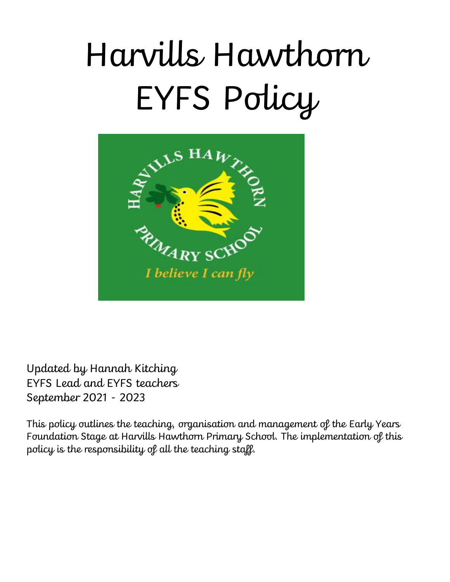# Harvills Hawthorn EYFS Policy



Updated by Hannah Kitching EYFS Lead and EYFS teachers September 2021 - 2023

This policy outlines the teaching, organisation and management of the Early Years Foundation Stage at Harvills Hawthorn Primary School. The implementation of this policy is the responsibility of all the teaching staff.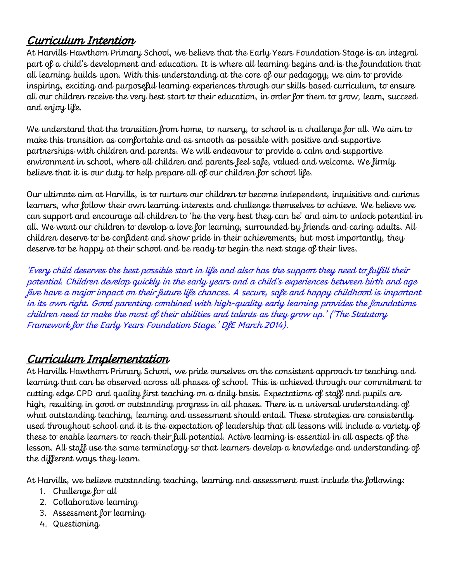# Curriculum Intention

At Harvills Hawthorn Primary School, we believe that the Early Years Foundation Stage is an integral part of a child's development and education. It is where all learning begins and is the foundation that all learning builds upon. With this understanding at the core of our pedagogy, we aim to provide inspiring, exciting and purposeful learning experiences through our skills based curriculum, to ensure all our children receive the very best start to their education, in order for them to grow, learn, succeed and enjoy life.

We understand that the transition from home, to nursery, to school is a challenge for all. We aim to make this transition as comfortable and as smooth as possible with positive and supportive partnerships with children and parents. We will endeavour to provide a calm and supportive environment in school, where all children and parents feel safe, valued and welcome. We firmly believe that it is our duty to help prepare all of our children for school life.

Our ultimate aim at Harvills, is to nurture our children to become independent, inquisitive and curious learners, who follow their own learning interests and challenge themselves to achieve. We believe we can support and encourage all children to 'be the very best they can be' and aim to unlock potential in all. We want our children to develop a love for learning, surrounded by friends and caring adults. All children deserve to be confident and show pride in their achievements, but most importantly, they deserve to be happy at their school and be ready to begin the next stage of their lives.

'Every child deserves the best possible start in life and also has the support they need to fulfill their potential. Children develop quickly in the early years and a child's experiences between birth and age five have a major impact on their future life chances. A secure, safe and happy childhood is important in its own right. Good parenting combined with high-quality early learning provides the foundations children need to make the most of their abilities and talents as they grow up.' ('The Statutory Framework for the Early Years Foundation Stage.' DfE March 2014).

# Curriculum Implementation

At Harvills Hawthorn Primary School, we pride ourselves on the consistent approach to teaching and learning that can be observed across all phases of school. This is achieved through our commitment to cutting edge CPD and quality first teaching on a daily basis. Expectations of staff and pupils are high, resulting in good or outstanding progress in all phases. There is a universal understanding of what outstanding teaching, learning and assessment should entail. These strategies are consistently used throughout school and it is the expectation of leadership that all lessons will include a variety of these to enable learners to reach their full potential. Active learning is essential in all aspects of the lesson. All staff use the same terminology so that learners develop a knowledge and understanding of the different ways they learn.

At Harvills, we believe outstanding teaching, learning and assessment must include the following:

- 1. Challenge for all
- 2. Collaborative learning
- 3. Assessment for learning
- 4. Questioning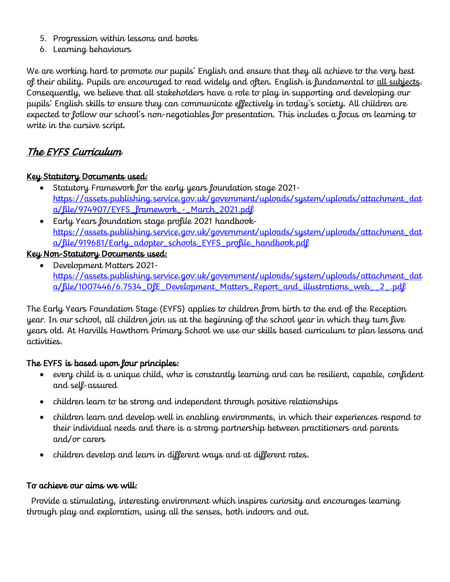- 5. Progression within lessons and books
- 6. Learning behaviours

We are working hard to promote our pupils' English and ensure that they all achieve to the very best of their ability. Pupils are encouraged to read widely and often. English is fundamental to all subjects. Consequently, we believe that all stakeholders have a role to play in supporting and developing our pupils' English skills to ensure they can communicate effectively in today's society. All children are expected to follow our school's non-negotiables for presentation. This includes a focus on learning to write in the cursive script.

# The EYFS Curriculum

#### Key Statutory Documents used:

- Statutory Framework for the early years foundation stage 2021 [https://assets.publishing.service.gov.uk/government/uploads/system/uploads/attachment\\_dat](https://assets.publishing.service.gov.uk/government/uploads/system/uploads/attachment_data/file/974907/EYFS_framework_-_March_2021.pdf) [a/file/974907/EYFS\\_framework\\_-\\_March\\_2021.pdf](https://assets.publishing.service.gov.uk/government/uploads/system/uploads/attachment_data/file/974907/EYFS_framework_-_March_2021.pdf)
- Early Years foundation stage profile 2021 handbook[https://assets.publishing.service.gov.uk/government/uploads/system/uploads/attachment\\_dat](https://assets.publishing.service.gov.uk/government/uploads/system/uploads/attachment_data/file/919681/Early_adopter_schools_EYFS_profile_handbook.pdf) [a/file/919681/Early\\_adopter\\_schools\\_EYFS\\_profile\\_handbook.pdf](https://assets.publishing.service.gov.uk/government/uploads/system/uploads/attachment_data/file/919681/Early_adopter_schools_EYFS_profile_handbook.pdf)

#### Key Non-Statutory Documents used:

 Development Matters 2021 [https://assets.publishing.service.gov.uk/government/uploads/system/uploads/attachment\\_dat](https://assets.publishing.service.gov.uk/government/uploads/system/uploads/attachment_data/file/1007446/6.7534_DfE_Development_Matters_Report_and_illustrations_web__2_.pdf) [a/file/1007446/6.7534\\_DfE\\_Development\\_Matters\\_Report\\_and\\_illustrations\\_web\\_\\_2\\_.pdf](https://assets.publishing.service.gov.uk/government/uploads/system/uploads/attachment_data/file/1007446/6.7534_DfE_Development_Matters_Report_and_illustrations_web__2_.pdf)

The Early Years Foundation Stage (EYFS) applies to children from birth to the end of the Reception year. In our school, all children join us at the beginning of the school year in which they turn five years old. At Harvills Hawthorn Primary School we use our skills based curriculum to plan lessons and activities.

#### The EYFS is based upon four principles:

- every child is a unique child, who is constantly learning and can be resilient, capable, confident and self-assured
- children learn to be strong and independent through positive relationships
- children learn and develop well in enabling environments, in which their experiences respond to their individual needs and there is a strong partnership between practitioners and parents and/or carers
- children develop and learn in different ways and at different rates.

#### To achieve our aims we will:

Provide a stimulating, interesting environment which inspires curiosity and encourages learning through play and exploration, using all the senses, both indoors and out.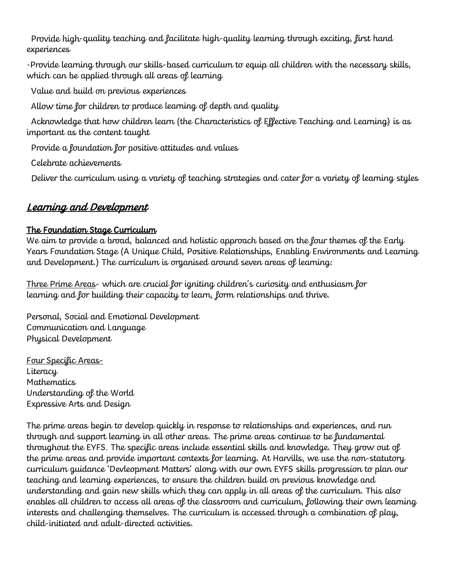Provide high-quality teaching and facilitate high-quality learning through exciting, first hand experiences

-Provide learning through our skills-based curriculum to equip all children with the necessary skills, which can be applied through all areas of learning

Value and build on previous experiences

Allow time for children to produce learning of depth and quality

Acknowledge that how children learn (the Characteristics of Effective Teaching and Learning) is as important as the content taught

Provide a foundation for positive attitudes and values

Celebrate achievements

Deliver the curriculum using a variety of teaching strategies and cater for a variety of learning styles

# Learning and Development

#### The Foundation Stage Curriculum

We aim to provide a broad, balanced and holistic approach based on the four themes of the Early Years Foundation Stage (A Unique Child, Positive Relationships, Enabling Environments and Learning and Development.) The curriculum is organised around seven areas of learning:

Three Prime Areas- which are crucial for igniting children's curiosity and enthusiasm for learning and for building their capacity to learn, form relationships and thrive.

Personal, Social and Emotional Development Communication and Language Physical Development

Four Specific Areas-**Literacy** Mathematics Understanding of the World Expressive Arts and Design

The prime areas begin to develop quickly in response to relationships and experiences, and run through and support learning in all other areas. The prime areas continue to be fundamental throughout the EYFS. The specific areas include essential skills and knowledge. They grow out of the prime areas and provide important contexts for learning. At Harvills, we use the non-statutory curriculum guidance 'Devleopment Matters' along with our own EYFS skills progression to plan our teaching and learning experiences, to ensure the children build on previous knowledge and understanding and gain new skills which they can apply in all areas of the curriculum. This also enables all children to access all areas of the classroom and curriculum, following their own learning interests and challenging themselves. The curriculum is accessed through a combination of play, child-initiated and adult-directed activities.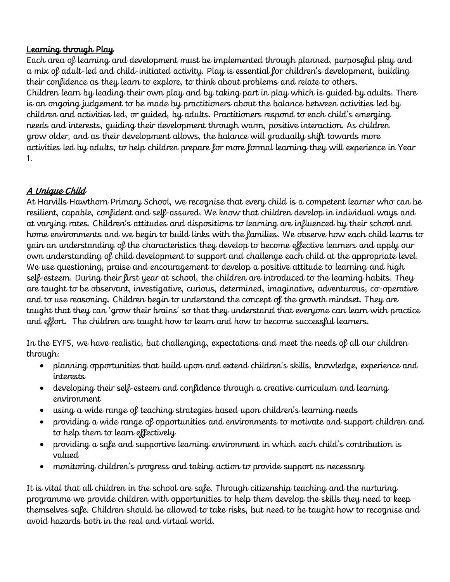#### Learning through Play

Each area of learning and development must be implemented through planned, purposeful play and a mix of adult-led and child-initiated activity. Play is essential for children's development, building their confidence as they learn to explore, to think about problems and relate to others. Children learn by leading their own play and by taking part in play which is guided by adults. There is an ongoing judgement to be made by practitioners about the balance between activities led by children and activities led, or guided, by adults. Practitioners respond to each child's emerging needs and interests, guiding their development through warm, positive interaction. As children grow older, and as their development allows, the balance will gradually shift towards more activities led by adults, to help children prepare for more formal learning they will experience in Year 1.

## A Unique Child

At Harvills Hawthorn Primary School, we recognise that every child is a competent learner who can be resilient, capable, confident and self-assured. We know that children develop in individual ways and at varying rates. Children's attitudes and dispositions to learning are influenced by their school and home environments and we begin to build links with the families. We observe how each child learns to gain an understanding of the characteristics they develop to become effective learners and apply our own understanding of child development to support and challenge each child at the appropriate level. We use questioning, praise and encouragement to develop a positive attitude to learning and high self-esteem. During their first year at school, the children are introduced to the learning habits. They are taught to be observant, investigative, curious, determined, imaginative, adventurous, co-operative and to use reasoning. Children begin to understand the concept of the growth mindset. They are taught that they can 'grow their brains' so that they understand that everyone can learn with practice and effort. The children are taught how to learn and how to become successful learners.

In the EYFS, we have realistic, but challenging, expectations and meet the needs of all our children through:

- planning opportunities that build upon and extend children's skills, knowledge, experience and interests
- developing their self-esteem and confidence through a creative curriculum and learning environment
- using a wide range of teaching strategies based upon children's learning needs
- providing a wide range of opportunities and environments to motivate and support children and to help them to learn effectively
- providing a safe and supportive learning environment in which each child's contribution is valued
- monitoring children's progress and taking action to provide support as necessary

It is vital that all children in the school are safe. Through citizenship teaching and the nurturing programme we provide children with opportunities to help them develop the skills they need to keep themselves safe. Children should be allowed to take risks, but need to be taught how to recognise and avoid hazards both in the real and virtual world.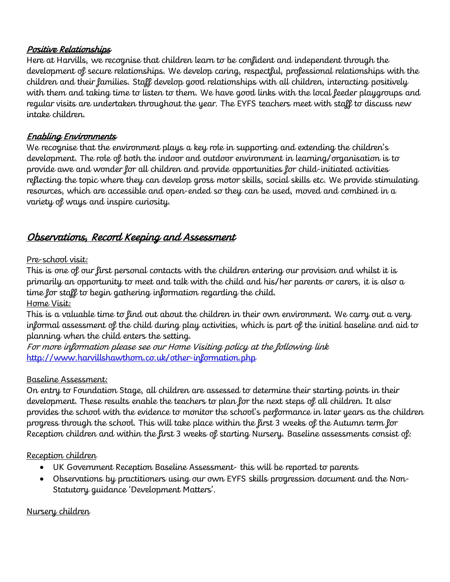#### Positive Relationships

Here at Harvills, we recognise that children learn to be confident and independent through the development of secure relationships. We develop caring, respectful, professional relationships with the children and their families. Staff develop good relationships with all children, interacting positively with them and taking time to listen to them. We have good links with the local feeder playgroups and regular visits are undertaken throughout the year. The EYFS teachers meet with staff to discuss new intake children.

#### Enabling Environments

We recognise that the environment plays a key role in supporting and extending the children's development. The role of both the indoor and outdoor environment in learning/organisation is to provide awe and wonder for all children and provide opportunities for child-initiated activities reflecting the topic where they can develop gross motor skills, social skills etc. We provide stimulating resources, which are accessible and open-ended so they can be used, moved and combined in a variety of ways and inspire curiosity.

# Observations, Record Keeping and Assessment

#### Pre-school visit:

This is one of our first personal contacts with the children entering our provision and whilst it is primarily an opportunity to meet and talk with the child and his/her parents or carers, it is also a time for staff to begin gathering information regarding the child. Home Visit:

This is a valuable time to find out about the children in their own environment. We carry out a very informal assessment of the child during play activities, which is part of the initial baseline and aid to planning when the child enters the setting.

For more information please see our Home Visiting policy at the following link <http://www.harvillshawthorn.co.uk/other-information.php>

#### Baseline Assessment:

On entry to Foundation Stage, all children are assessed to determine their starting points in their development. These results enable the teachers to plan for the next steps of all children. It also provides the school with the evidence to monitor the school's performance in later years as the children progress through the school. This will take place within the first 3 weeks of the Autumn term for Reception children and within the first 3 weeks of starting Nursery. Baseline assessments consist of:

#### Reception children

- UK Government Reception Baseline Assessment- this will be reported to parents
- Observations by practitioners using our own EYFS skills progression document and the Non-Statutory guidance 'Development Matters'.

#### Nursery children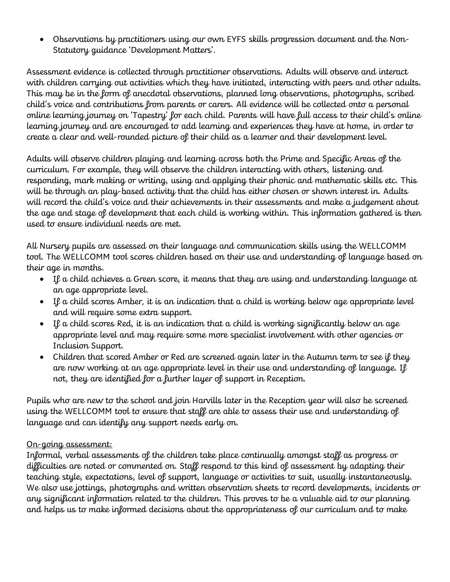Observations by practitioners using our own EYFS skills progression document and the Non-Statutory guidance 'Development Matters'.

Assessment evidence is collected through practitioner observations. Adults will observe and interact with children carrying out activities which they have initiated, interacting with peers and other adults. This may be in the form of anecdotal observations, planned long observations, photographs, scribed child's voice and contributions from parents or carers. All evidence will be collected onto a personal online learning journey on 'Tapestry' for each child. Parents will have full access to their child's online learning journey and are encouraged to add learning and experiences they have at home, in order to create a clear and well-rounded picture of their child as a learner and their development level.

Adults will observe children playing and learning across both the Prime and Specific Areas of the curriculum. For example, they will observe the children interacting with others, listening and responding, mark making or writing, using and applying their phonic and mathematic skills etc. This will be through an play-based activity that the child has either chosen or shown interest in. Adults will record the child's voice and their achievements in their assessments and make a judgement about the age and stage of development that each child is working within. This information gathered is then used to ensure individual needs are met.

All Nursery pupils are assessed on their language and communication skills using the WELLCOMM tool. The WELLCOMM tool scores children based on their use and understanding of language based on their age in months.

- If a child achieves a Green score, it means that they are using and understanding language at an age appropriate level.
- $\bullet$  If a child scores Amber, it is an indication that a child is working below age appropriate level and will require some extra support.
- $\bullet$  If a child scores Red, it is an indication that a child is working significantly below an age appropriate level and may require some more specialist involvement with other agencies or Inclusion Support.
- Children that scored Amber or Red are screened again later in the Autumn term to see if they are now working at an age appropriate level in their use and understanding of language. If not, they are identified for a further layer of support in Reception.

Pupils who are new to the school and join Harvills later in the Reception year will also be screened using the WELLCOMM tool to ensure that staff are able to assess their use and understanding of language and can identify any support needs early on.

#### On-going assessment:

Informal, verbal assessments of the children take place continually amongst staff as progress or difficulties are noted or commented on. Staff respond to this kind of assessment by adapting their teaching style, expectations, level of support, language or activities to suit, usually instantaneously. We also use jottings, photographs and written observation sheets to record developments, incidents or any significant information related to the children. This proves to be a valuable aid to our planning and helps us to make informed decisions about the appropriateness of our curriculum and to make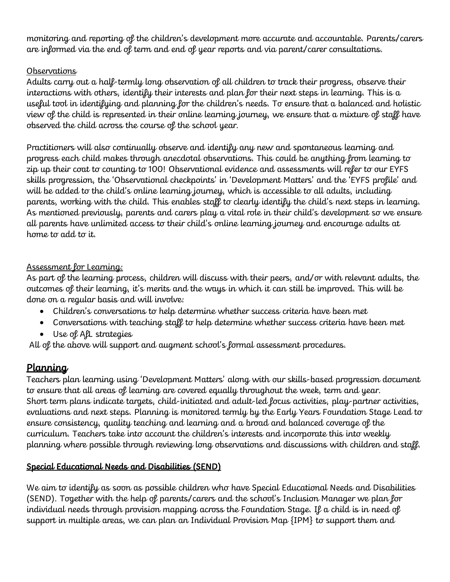monitoring and reporting of the children's development more accurate and accountable. Parents/carers are informed via the end of term and end of year reports and via parent/carer consultations.

#### **Observations**

Adults carry out a half-termly long observation of all children to track their progress, observe their interactions with others, identify their interests and plan for their next steps in learning. This is a useful tool in identifying and planning for the children's needs. To ensure that a balanced and holistic view of the child is represented in their online learning journey, we ensure that a mixture of staff have observed the child across the course of the school year.

Practitioners will also continually observe and identify any new and spontaneous learning and progress each child makes through anecdotal observations. This could be anything from learning to zip up their coat to counting to 100! Observational evidence and assessments will refer to our EYFS skills progression, the 'Observational checkpoints' in 'Development Matters' and the 'EYFS profile' and will be added to the child's online learning journey, which is accessible to all adults, including parents, working with the child. This enables staff to clearly identify the child's next steps in learning. As mentioned previously, parents and carers play a vital role in their child's development so we ensure all parents have unlimited access to their child's online learning journey and encourage adults at home to add to it.

#### Assessment for Learning:

As part of the learning process, children will discuss with their peers, and/or with relevant adults, the outcomes of their learning, it's merits and the ways in which it can still be improved. This will be done on a regular basis and will involve:

- Children's conversations to help determine whether success criteria have been met
- Conversations with teaching staff to help determine whether success criteria have been met
- Use of AfL strategies

All of the above will support and augment school's formal assessment procedures.

## Planning

Teachers plan learning using 'Development Matters' along with our skills-based progression document to ensure that all areas of learning are covered equally throughout the week, term and year. Short term plans indicate targets, child-initiated and adult-led focus activities, play-partner activities, evaluations and next steps. Planning is monitored termly by the Early Years Foundation Stage Lead to ensure consistency, quality teaching and learning and a broad and balanced coverage of the curriculum. Teachers take into account the children's interests and incorporate this into weekly planning where possible through reviewing long observations and discussions with children and staff.

#### Special Educational Needs and Disabilities (SEND)

We aim to identify as soon as possible children who have Special Educational Needs and Disabilities (SEND). Together with the help of parents/carers and the school's Inclusion Manager we plan for individual needs through provision mapping across the Foundation Stage. If a child is in need of support in multiple areas, we can plan an Individual Provision Map {IPM} to support them and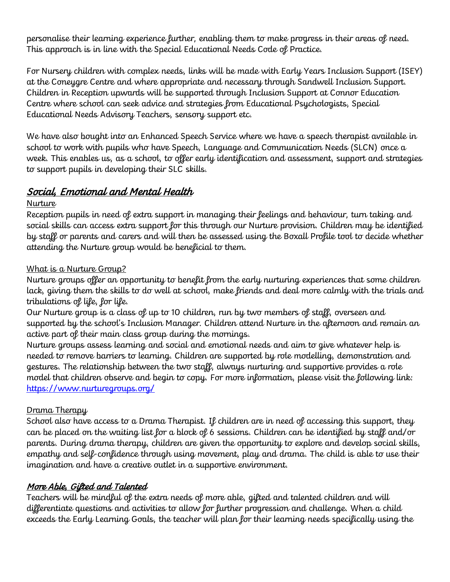personalise their learning experience further, enabling them to make progress in their areas of need. This approach is in line with the Special Educational Needs Code of Practice.

For Nursery children with complex needs, links will be made with Early Years Inclusion Support (ISEY) at the Coneygre Centre and where appropriate and necessary through Sandwell Inclusion Support. Children in Reception upwards will be supported through Inclusion Support at Connor Education Centre where school can seek advice and strategies from Educational Psychologists, Special Educational Needs Advisory Teachers, sensory support etc.

We have also bought into an Enhanced Speech Service where we have a speech therapist available in school to work with pupils who have Speech, Language and Communication Needs (SLCN) once a week. This enables us, as a school, to offer early identification and assessment, support and strategies to support pupils in developing their SLC skills.

# Social, Emotional and Mental Health

#### **Nurture**

Reception pupils in need of extra support in managing their feelings and behaviour, turn taking and social skills can access extra support for this through our Nurture provision. Children may be identified by staff or parents and carers and will then be assessed using the Boxall Profile tool to decide whether attending the Nurture group would be beneficial to them.

#### What is a Nurture Group?

Nurture groups offer an opportunity to benefit from the early nurturing experiences that some children lack, giving them the skills to do well at school, make friends and deal more calmly with the trials and tribulations of life, for life.

Our Nurture group is a class of up to 10 children, run by two members of staff, overseen and supported by the school's Inclusion Manager. Children attend Nurture in the afternoon and remain an active part of their main class group during the mornings.

Nurture groups assess learning and social and emotional needs and aim to give whatever help is needed to remove barriers to learning. Children are supported by role modelling, demonstration and gestures. The relationship between the two staff, always nurturing and supportive provides a role model that children observe and begin to copy. For more information, please visit the following link: <https://www.nurturegroups.org/>

#### Drama Therapy

School also have access to a Drama Therapist. If children are in need of accessing this support, they can be placed on the waiting list for a block of 6 sessions. Children can be identified by staff and/or parents. During drama therapy, children are given the opportunity to explore and develop social skills, empathy and self-confidence through using movement, play and drama. The child is able to use their imagination and have a creative outlet in a supportive environment.

## More Able, Gifted and Talented

Teachers will be mindful of the extra needs of more able, gifted and talented children and will differentiate questions and activities to allow for further progression and challenge. When a child exceeds the Early Learning Goals, the teacher will plan for their learning needs specifically using the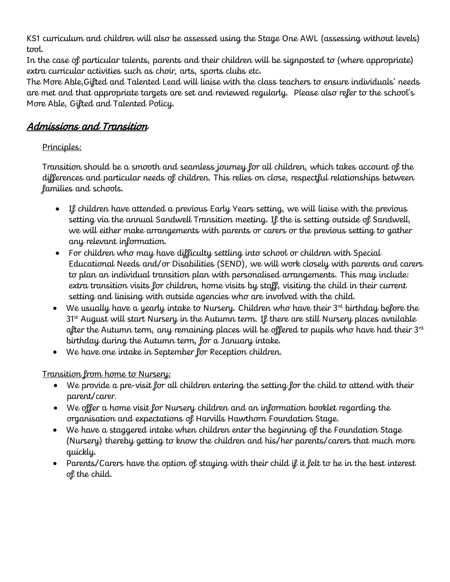KS1 curriculum and children will also be assessed using the Stage One AWL (assessing without levels) tool.

In the case of particular talents, parents and their children will be signposted to (where appropriate) extra curricular activities such as choir, arts, sports clubs etc.

The More Able,Gifted and Talented Lead will liaise with the class teachers to ensure individuals' needs are met and that appropriate targets are set and reviewed regularly. Please also refer to the school's More Able, Gifted and Talented Policy.

## Admissions and Transition

## Principles:

Transition should be a smooth and seamless journey for all children, which takes account of the differences and particular needs of children. This relies on close, respectful relationships between families and schools.

- If children have attended a previous Early Years setting, we will liaise with the previous setting via the annual Sandwell Transition meeting. If the is setting outside of Sandwell, we will either make arrangements with parents or carers or the previous setting to gather any relevant information.
- For children who may have difficulty settling into school or children with Special Educational Needs and/or Disabilities (SEND), we will work closely with parents and carers to plan an individual transition plan with personalised arrangements. This may include: extra transition visits for children, home visits by staff, visiting the child in their current setting and liaising with outside agencies who are involved with the child.
- $\bullet$  We usually have a yearly intake to Nursery. Children who have their  $3^{rd}$  birthday before the 31<sup>st</sup> August will start Nursery in the Autumn term. If there are still Nursery places available after the Autumn term, any remaining places will be offered to pupils who have had their  $3<sup>rd</sup>$ birthday during the Autumn term, for a January intake.
- We have one intake in September for Reception children.

## <u>Transition from home to Nursery:</u>

- We provide a pre-visit for all children entering the setting for the child to attend with their parent/carer.
- We offer a home visit for Nursery children and an information booklet regarding the organisation and expectations of Harvills Hawthorn Foundation Stage.
- We have a staggered intake when children enter the beginning of the Foundation Stage (Nursery) thereby getting to know the children and his/her parents/carers that much more quickly.
- Parents/Carers have the option of staying with their child if it felt to be in the best interest of the child.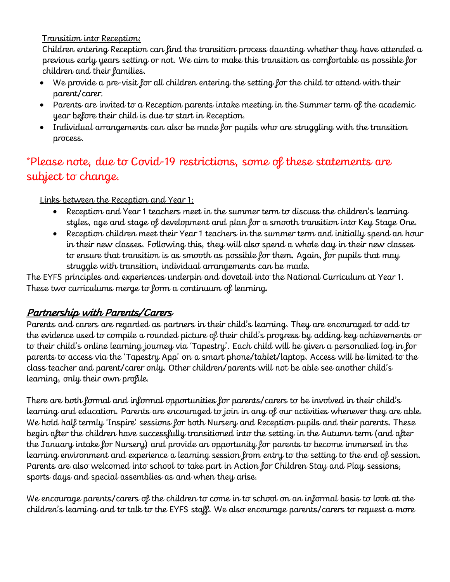Transition into Reception:

Children entering Reception can find the transition process daunting whether they have attended a previous early years setting or not. We aim to make this transition as comfortable as possible for children and their families.

- We provide a pre-visit for all children entering the setting for the child to attend with their parent/carer.
- Parents are invited to a Reception parents intake meeting in the Summer term of the academic year before their child is due to start in Reception.
- Individual arrangements can also be made for pupils who are struggling with the transition process.

# \*Please note, due to Covid-19 restrictions, some of these statements are subject to change.

Links between the Reception and Year 1:

- Reception and Year 1 teachers meet in the summer term to discuss the children's learning styles, age and stage of development and plan for a smooth transition into Key Stage One.
- Reception children meet their Year 1 teachers in the summer term and initially spend an hour in their new classes. Following this, they will also spend a whole day in their new classes to ensure that transition is as smooth as possible for them. Again, for pupils that may struggle with transition, individual arrangements can be made.

The EYFS principles and experiences underpin and dovetail into the National Curriculum at Year 1. These two curriculums merge to form a continuum of learning.

# Partnership with Parents/Carers

Parents and carers are regarded as partners in their child's learning. They are encouraged to add to the evidence used to compile a rounded picture of their child's progress by adding key achievements or to their child's online learning journey via 'Tapestry'. Each child will be given a personalied log in for parents to access via the 'Tapestry App' on a smart phone/tablet/laptop. Access will be limited to the class teacher and parent/carer only. Other children/parents will not be able see another child's learning, only their own profile.

There are both formal and informal opportunities for parents/carers to be involved in their child's learning and education. Parents are encouraged to join in any of our activities whenever they are able. We hold half termly 'Inspire' sessions for both Nursery and Reception pupils and their parents. These begin after the children have successfully transitioned into the setting in the Autumn term (and after the January intake for Nursery) and provide an opportunity for parents to become immersed in the learning environment and experience a learning session from entry to the setting to the end of session. Parents are also welcomed into school to take part in Action for Children Stay and Play sessions, sports days and special assemblies as and when they arise.

We encourage parents/carers of the children to come in to school on an informal basis to look at the children's learning and to talk to the EYFS staff. We also encourage parents/carers to request a more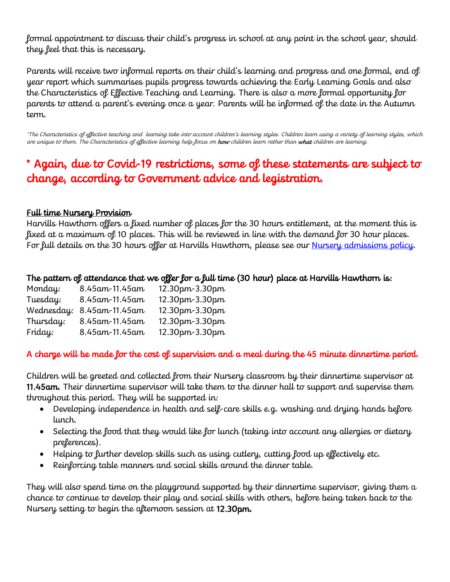formal appointment to discuss their child's progress in school at any point in the school year, should they feel that this is necessary.

Parents will receive two informal reports on their child's learning and progress and one formal, end of year report which summarises pupils progress towards achieving the Early Learning Goals and also the Characteristics of Effective Teaching and Learning. There is also a more formal opportunity for parents to attend a parent's evening once a year. Parents will be informed of the date in the Autumn term.

\*The Characteristics of effective teaching and learning take into account children's learning styles. Children learn using a variety of learning styles, which are unique to them. The Characteristics of effective learning help focus on **how** children learn rather than **what** children are learning.

# \* Again, due to Covid-19 restrictions, some of these statements are subject to change, according to Government advice and legistration.

#### Full time Nursery Provision

Harvills Hawthorn offers a fixed number of places for the 30 hours entitlement, at the moment this is fixed at a maximum of 10 places. This will be reviewed in line with the demand for 30 hour places. For full details on the 30 hours offer at Harvills Hawthorn, please see our <u>Nursery admissions policy</u>.

#### The pattern of attendance that we offer for a full time (30 hour) place at Harvills Hawthorn is:

| Monday:    | 8.45 am - 11.45 am | $12.30 \text{pm} - 3.30 \text{pm}$ |
|------------|--------------------|------------------------------------|
| Tuesday:   | 8.45 am - 11.45 am | 12.30pm-3.30pm                     |
| Wednesday: | 8.45 am 11.45 am   | $12.30 \text{pm} - 3.30 \text{pm}$ |
| Thursday:  | 8.45 am - 11.45 am | 12.30pm-3.30pm                     |
| Friday:    | 8.45 am 11.45 am   | 12.30pm-3.30pm                     |

#### A charge will be made for the cost of supervision and a meal during the 45 minute dinnertime period.

Children will be greeted and collected from their Nursery classroom by their dinnertime supervisor at 11.45am. Their dinnertime supervisor will take them to the dinner hall to support and supervise them throughout this period. They will be supported in:

- Developing independence in health and self-care skills e.g. washing and drying hands before lunch.
- Selecting the food that they would like for lunch (taking into account any allergies or dietary preferences).
- Helping to further develop skills such as using cutlery, cutting food up effectively etc.
- Reinforcing table manners and social skills around the dinner table.

They will also spend time on the playground supported by their dinnertime supervisor, giving them a chance to continue to develop their play and social skills with others, before being taken back to the Nursery setting to begin the afternoon session at 12.30pm.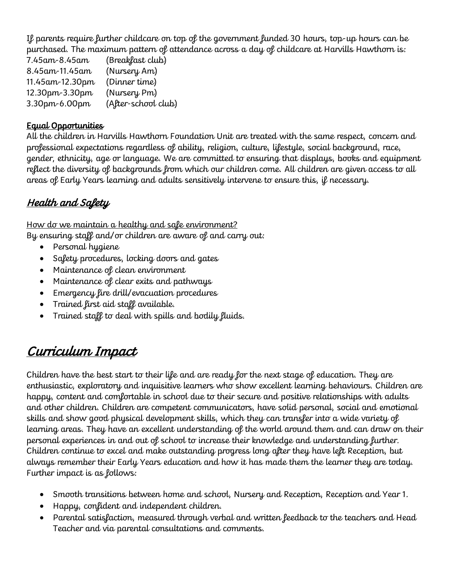If parents require further childcare on top of the government funded 30 hours, top-up hours can be purchased. The maximum pattern of attendance across a day of childcare at Harvills Hawthorn is:

7.45am-8.45am (Breakfast club) 8.45am-11.45am (Nursery Am) 11.45am-12.30pm (Dinner time) 12.30pm-3.30pm (Nursery Pm) 3.30pm-6.00pm (After-school club)

#### Equal Opportunities

All the children in Harvills Hawthorn Foundation Unit are treated with the same respect, concern and professional expectations regardless of ability, religion, culture, lifestyle, social background, race, gender, ethnicity, age or language. We are committed to ensuring that displays, books and equipment reflect the diversity of backgrounds from which our children come. All children are given access to all areas of Early Years learning and adults sensitively intervene to ensure this, if necessary.

# Health and Safety

How do we maintain a healthy and safe environment? By ensuring staff and/or children are aware of and carry out:

- Personal hygiene
- Safety procedures, locking doors and gates
- Maintenance of clean environment
- Maintenance of clear exits and pathways
- Emergency fire drill/evacuation procedures
- Trained first aid staff available.
- Trained staff to deal with spills and bodily fluids.

# Curriculum Impact

Children have the best start to their life and are ready for the next stage of education. They are enthusiastic, exploratory and inquisitive learners who show excellent learning behaviours. Children are happy, content and comfortable in school due to their secure and positive relationships with adults and other children. Children are competent communicators, have solid personal, social and emotional skills and show good physical development skills, which they can transfer into a wide variety of learning areas. They have an excellent understanding of the world around them and can draw on their personal experiences in and out of school to increase their knowledge and understanding further. Children continue to excel and make outstanding progress long after they have left Reception, but always remember their Early Years education and how it has made them the learner they are today. Further impact is as follows:

- Smooth transitions between home and school, Nursery and Reception, Reception and Year 1.
- Happy, confident and independent children.
- Parental satisfaction, measured through verbal and written feedback to the teachers and Head Teacher and via parental consultations and comments.